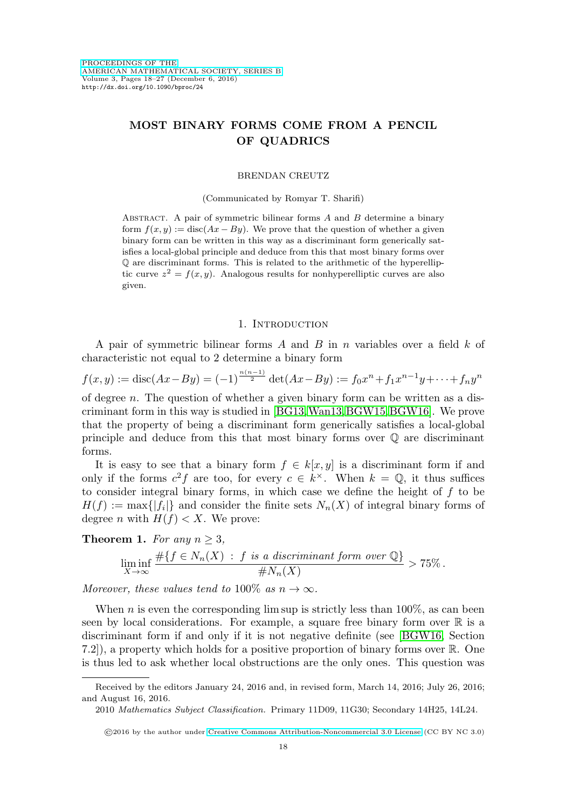# **MOST BINARY FORMS COME FROM A PENCIL OF QUADRICS**

### BRENDAN CREUTZ

(Communicated by Romyar T. Sharifi)

ABSTRACT. A pair of symmetric bilinear forms  $A$  and  $B$  determine a binary form  $f(x, y) := \text{disc}(Ax - By)$ . We prove that the question of whether a given binary form can be written in this way as a discriminant form generically satisfies a local-global principle and deduce from this that most binary forms over Q are discriminant forms. This is related to the arithmetic of the hyperelliptic curve  $z^2 = f(x, y)$ . Analogous results for nonhyperelliptic curves are also given.

# 1. INTRODUCTION

A pair of symmetric bilinear forms A and B in n variables over a field  $k$  of characteristic not equal to 2 determine a binary form

$$
f(x,y) := \operatorname{disc}(Ax - By) = (-1)^{\frac{n(n-1)}{2}} \operatorname{det}(Ax - By) := f_0 x^n + f_1 x^{n-1} y + \dots + f_n y^n
$$

of degree n. The question of whether a given binary form can be written as a discriminant form in this way is studied in [\[BG13,](#page-8-0)[Wan13,](#page-9-0)[BGW15,](#page-8-1)[BGW16\]](#page-8-2). We prove that the property of being a discriminant form generically satisfies a local-global principle and deduce from this that most binary forms over Q are discriminant forms.

It is easy to see that a binary form  $f \in k[x, y]$  is a discriminant form if and only if the forms  $c^2 f$  are too, for every  $c \in k^{\times}$ . When  $k = \mathbb{Q}$ , it thus suffices to consider integral binary forms, in which case we define the height of f to be  $H(f) := \max\{|f_i|\}$  and consider the finite sets  $N_n(X)$  of integral binary forms of degree *n* with  $H(f) < X$ . We prove:

<span id="page-0-0"></span>**Theorem 1.** For any 
$$
n \geq 3
$$
,

$$
\liminf_{X \to \infty} \frac{\#\{f \in N_n(X) : f \text{ is a discriminant form over } \mathbb{Q}\}}{\#N_n(X)} > 75\%.
$$

Moreover, these values tend to 100\% as  $n \to \infty$ .

When n is even the corresponding lim sup is strictly less than  $100\%$ , as can been seen by local considerations. For example, a square free binary form over  $\mathbb R$  is a discriminant form if and only if it is not negative definite (see [\[BGW16,](#page-8-2) Section 7.2]), a property which holds for a positive proportion of binary forms over R. One is thus led to ask whether local obstructions are the only ones. This question was

Received by the editors January 24, 2016 and, in revised form, March 14, 2016; July 26, 2016; and August 16, 2016.

<sup>2010</sup> Mathematics Subject Classification. Primary 11D09, 11G30; Secondary 14H25, 14L24.

<sup>©</sup>2016 by the author under [Creative Commons Attribution-Noncommercial 3.0 License](http://creativecommons.org/licenses/by-nc/3.0/) (CC BY NC 3.0)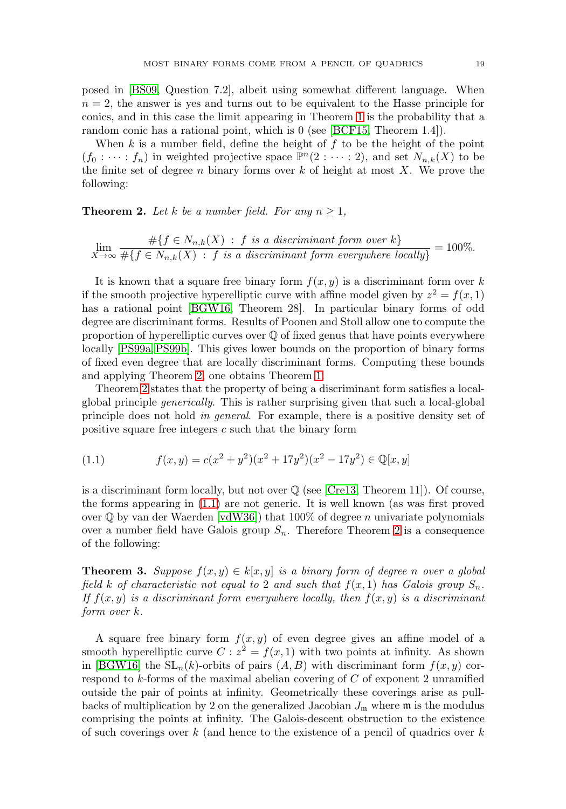posed in [\[BS09,](#page-8-3) Question 7.2], albeit using somewhat different language. When  $n = 2$ , the answer is yes and turns out to be equivalent to the Hasse principle for conics, and in this case the limit appearing in Theorem [1](#page-0-0) is the probability that a random conic has a rational point, which is 0 (see [\[BCF15,](#page-8-4) Theorem 1.4]).

When  $k$  is a number field, define the height of  $f$  to be the height of the point  $(f_0 : \cdots : f_n)$  in weighted projective space  $\mathbb{P}^n(2 : \cdots : 2)$ , and set  $N_{n,k}(X)$  to be the finite set of degree n binary forms over  $k$  of height at most X. We prove the following:

<span id="page-1-0"></span>**Theorem 2.** Let k be a number field. For any  $n \geq 1$ ,

$$
\lim_{X \to \infty} \frac{\#\{f \in N_{n,k}(X) : f \text{ is a discriminant form over } k\}}{\#\{f \in N_{n,k}(X) : f \text{ is a discriminant form everywhere locally}\}} = 100\%.
$$

It is known that a square free binary form  $f(x, y)$  is a discriminant form over k if the smooth projective hyperelliptic curve with affine model given by  $z^2 = f(x, 1)$ has a rational point [\[BGW16,](#page-8-2) Theorem 28]. In particular binary forms of odd degree are discriminant forms. Results of Poonen and Stoll allow one to compute the proportion of hyperelliptic curves over  $\mathbb Q$  of fixed genus that have points everywhere locally [\[PS99a,](#page-9-1) [PS99b\]](#page-9-2). This gives lower bounds on the proportion of binary forms of fixed even degree that are locally discriminant forms. Computing these bounds and applying Theorem [2,](#page-1-0) one obtains Theorem [1.](#page-0-0)

Theorem [2](#page-1-0) states that the property of being a discriminant form satisfies a localglobal principle generically. This is rather surprising given that such a local-global principle does not hold in general. For example, there is a positive density set of positive square free integers  $c$  such that the binary form

<span id="page-1-1"></span>(1.1) 
$$
f(x,y) = c(x^2 + y^2)(x^2 + 17y^2)(x^2 - 17y^2) \in \mathbb{Q}[x, y]
$$

is a discriminant form locally, but not over  $\mathbb Q$  (see [\[Cre13,](#page-8-5) Theorem 11]). Of course, the forms appearing in [\(1.1\)](#page-1-1) are not generic. It is well known (as was first proved over  $\mathbb Q$  by van der Waerden  $\vert \text{vdW}36 \vert$ ) that 100% of degree n univariate polynomials over a number field have Galois group  $S_n$ . Therefore Theorem [2](#page-1-0) is a consequence of the following:

<span id="page-1-2"></span>**Theorem 3.** Suppose  $f(x, y) \in k[x, y]$  is a binary form of degree n over a global field k of characteristic not equal to 2 and such that  $f(x, 1)$  has Galois group  $S_n$ . If  $f(x, y)$  is a discriminant form everywhere locally, then  $f(x, y)$  is a discriminant form over k.

A square free binary form  $f(x, y)$  of even degree gives an affine model of a smooth hyperelliptic curve  $C: z^2 = f(x, 1)$  with two points at infinity. As shown in [\[BGW16\]](#page-8-2) the  $SL_n(k)$ -orbits of pairs  $(A, B)$  with discriminant form  $f(x, y)$  correspond to  $k$ -forms of the maximal abelian covering of  $C$  of exponent 2 unramified outside the pair of points at infinity. Geometrically these coverings arise as pullbacks of multiplication by 2 on the generalized Jacobian  $J_{\rm m}$  where  $\rm m$  is the modulus comprising the points at infinity. The Galois-descent obstruction to the existence of such coverings over  $k$  (and hence to the existence of a pencil of quadrics over  $k$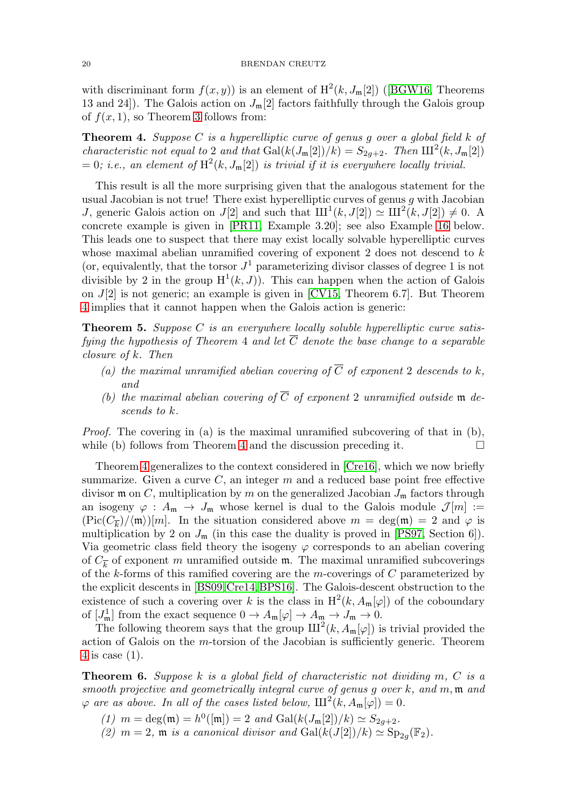with discriminant form  $f(x, y)$  is an element of  $H^2(k, J_m[2])$  ([\[BGW16,](#page-8-2) Theorems 13 and 24]). The Galois action on  $J_{\mathfrak{m}}[2]$  factors faithfully through the Galois group of  $f(x, 1)$ , so Theorem [3](#page-1-2) follows from:

<span id="page-2-0"></span>**Theorem 4.** Suppose C is a hyperelliptic curve of genus g over a global field k of characteristic not equal to 2 and that  $Gal(k(J_m[2])/k) = S_{2q+2}$ . Then  $III^2(k, J_m[2])$ = 0; i.e., an element of  $H^2(k, J_m[2])$  is trivial if it is everywhere locally trivial.

This result is all the more surprising given that the analogous statement for the usual Jacobian is not true! There exist hyperelliptic curves of genus  $g$  with Jacobian J, generic Galois action on J[2] and such that  $III<sup>1</sup>(k, J[2]) \simeq III<sup>2</sup>(k, J[2]) \neq 0$ . A concrete example is given in [\[PR11,](#page-9-4) Example 3.20]; see also Example [16](#page-7-0) below. This leads one to suspect that there may exist locally solvable hyperelliptic curves whose maximal abelian unramified covering of exponent 2 does not descend to  $k$ (or, equivalently, that the torsor  $J^1$  parameterizing divisor classes of degree 1 is not divisible by 2 in the group  $H^1(k, J)$ . This can happen when the action of Galois on  $J[2]$  is not generic; an example is given in [\[CV15,](#page-9-5) Theorem 6.7]. But Theorem [4](#page-2-0) implies that it cannot happen when the Galois action is generic:

**Theorem 5.** Suppose C is an everywhere locally soluble hyperelliptic curve satisfying the hypothesis of Theorem 4 and let  $\overline{C}$  denote the base change to a separable closure of k. Then

- (a) the maximal unramified abelian covering of  $\overline{C}$  of exponent 2 descends to k, and
- (b) the maximal abelian covering of  $\overline{C}$  of exponent 2 unramified outside m descends to k.

*Proof.* The covering in (a) is the maximal unramified subcovering of that in (b), while (b) follows from Theorem [4](#page-2-0) and the discussion preceding it.

Theorem [4](#page-2-0) generalizes to the context considered in [\[Cre16\]](#page-9-6), which we now briefly summarize. Given a curve  $C$ , an integer  $m$  and a reduced base point free effective divisor **m** on C, multiplication by m on the generalized Jacobian  $J_m$  factors through an isogeny  $\varphi : A_{\mathfrak{m}} \to J_{\mathfrak{m}}$  whose kernel is dual to the Galois module  $\mathcal{J}[m] :=$  $(\text{Pic}(C_{\overline{k}})/\langle \mathfrak{m} \rangle)[m]$ . In the situation considered above  $m = \deg(\mathfrak{m}) = 2$  and  $\varphi$  is multiplication by 2 on  $J_{\mathfrak{m}}$  (in this case the duality is proved in [\[PS97,](#page-9-7) Section 6]). Via geometric class field theory the isogeny  $\varphi$  corresponds to an abelian covering of  $C_{\overline{k}}$  of exponent m unramified outside m. The maximal unramified subcoverings of the k-forms of this ramified covering are the m-coverings of  $C$  parameterized by the explicit descents in [\[BS09,](#page-8-3)[Cre14,](#page-9-8)[BPS16\]](#page-8-6). The Galois-descent obstruction to the existence of such a covering over k is the class in  $H^2(k, A_{\mathfrak{m}}[\varphi])$  of the coboundary of  $[J_m^1]$  from the exact sequence  $0 \to A_m[\varphi] \to A_m \to J_m \to 0$ .

The following theorem says that the group  $III^2(k, A_{\mathfrak{m}}[\varphi])$  is trivial provided the action of Galois on the m-torsion of the Jacobian is sufficiently generic. Theorem [4](#page-2-0) is case (1).

<span id="page-2-1"></span>**Theorem 6.** Suppose k is a global field of characteristic not dividing m, C is a smooth projective and geometrically integral curve of genus g over  $k$ , and  $m$ ,  $m$  and  $\varphi$  are as above. In all of the cases listed below,  $III^2(k, A_\mathfrak{m}[\varphi]) = 0$ .

- (1)  $m = \deg(\mathfrak{m}) = h^0([\mathfrak{m}]) = 2$  and  $\text{Gal}(k(J_{\mathfrak{m}}[2])/k) \simeq S_{2g+2}$ .
- (2)  $m = 2$ ,  $m$  is a canonical divisor and  $Gal(k(J[2])/k) \simeq Sp_{2a}(\mathbb{F}_2))$ .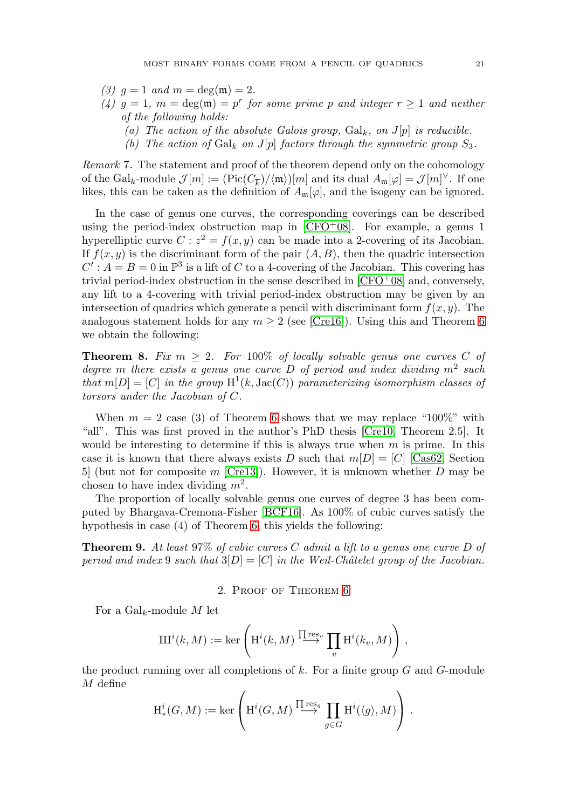- (3)  $q = 1$  and  $m = \deg(m) = 2$ .
- (4)  $g = 1$ ,  $m = \deg(\mathfrak{m}) = p^r$  for some prime p and integer  $r \geq 1$  and neither of the following holds:
	- (a) The action of the absolute Galois group,  $Gal_k$ , on  $J[p]$  is reducible.
	- (b) The action of  $Gal_k$  on  $J[p]$  factors through the symmetric group  $S_3$ .

Remark 7. The statement and proof of the theorem depend only on the cohomology of the Gal<sub>k</sub>-module  $\mathcal{J}[m] := (\text{Pic}(C_{\overline{k}})/\langle \mathfrak{m} \rangle)[m]$  and its dual  $A_{\mathfrak{m}}[\varphi] = \mathcal{J}[m]^{\vee}$ . If one likes, this can be taken as the definition of  $A_{\mathfrak{m}}[\varphi]$ , and the isogeny can be ignored.

In the case of genus one curves, the corresponding coverings can be described using the period-index obstruction map in  $[CFO<sup>+</sup>08]$  $[CFO<sup>+</sup>08]$ . For example, a genus 1 hyperelliptic curve  $C: z^2 = f(x, y)$  can be made into a 2-covering of its Jacobian. If  $f(x, y)$  is the discriminant form of the pair  $(A, B)$ , then the quadric intersection  $C' : A = B = 0$  in  $\mathbb{P}^3$  is a lift of C to a 4-covering of the Jacobian. This covering has trivial period-index obstruction in the sense described in  $[CFO<sup>+</sup>08]$  $[CFO<sup>+</sup>08]$  and, conversely, any lift to a 4-covering with trivial period-index obstruction may be given by an intersection of quadrics which generate a pencil with discriminant form  $f(x, y)$ . The analogous statement holds for any  $m \geq 2$  (see [\[Cre16\]](#page-9-6)). Using this and Theorem [6](#page-2-1) we obtain the following:

**Theorem 8.** Fix  $m \geq 2$ . For 100% of locally solvable genus one curves C of degree m there exists a genus one curve D of period and index dividing  $m^2$  such that  $m[D]=[C]$  in the group  $H^1(k, \text{Jac}(C))$  parameterizing isomorphism classes of torsors under the Jacobian of C.

When  $m = 2$  case (3) of Theorem [6](#page-2-1) shows that we may replace "100%" with "all". This was first proved in the author's PhD thesis [\[Cre10,](#page-8-8) Theorem 2.5]. It would be interesting to determine if this is always true when  $m$  is prime. In this case it is known that there always exists D such that  $m[D]=[C]$  [\[Cas62,](#page-8-9) Section 5 (but not for composite m [\[Cre13\]](#page-8-5)). However, it is unknown whether D may be chosen to have index dividing  $m^2$ .

The proportion of locally solvable genus one curves of degree 3 has been computed by Bhargava-Cremona-Fisher [\[BCF16\]](#page-8-10). As 100% of cubic curves satisfy the hypothesis in case (4) of Theorem [6,](#page-2-1) this yields the following:

**Theorem 9.** At least 97% of cubic curves C admit a lift to a genus one curve D of period and index 9 such that  $3[D]=[C]$  in the Weil-Châtelet group of the Jacobian.

#### 2. Proof of Theorem [6](#page-2-1)

For a  $Gal_k$ -module M let

$$
\mathrm{III}^i(k,M):=\ker\left(\mathrm{H}^i(k,M)\stackrel{\prod\mathrm{res}_v}{\longrightarrow}\prod_v\mathrm{H}^i(k_v,M)\right),
$$

the product running over all completions of  $k$ . For a finite group  $G$  and  $G$ -module M define

$$
\mathrm{H}^i_*(G,M) := \ker \left( \mathrm{H}^i(G,M) \stackrel{\prod \mathrm{res}_g}{\longrightarrow} \prod_{g \in G} \mathrm{H}^i(\langle g \rangle, M) \right) .
$$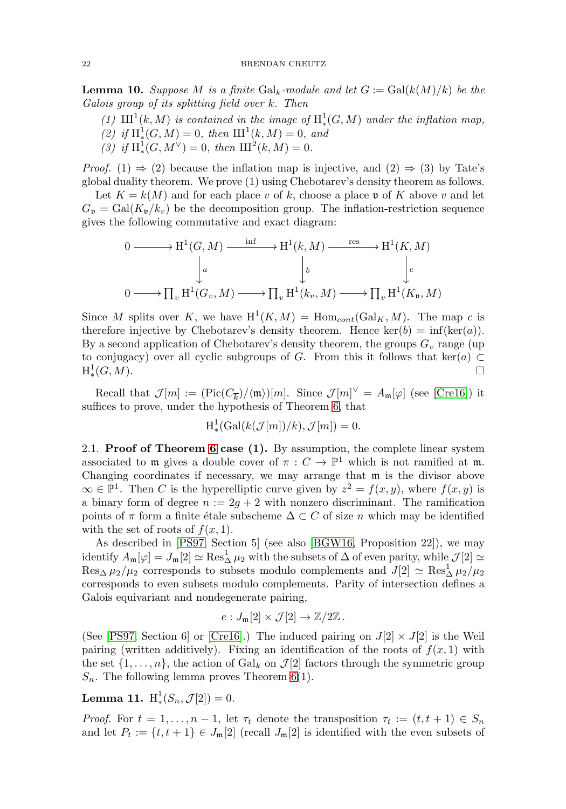<span id="page-4-0"></span>**Lemma 10.** Suppose M is a finite  $Gal_k$ -module and let  $G := Gal(k(M)/k)$  be the Galois group of its splitting field over k. Then

- (1)  $\text{III}^1(k,M)$  is contained in the image of  $\text{H}^1_*(G,M)$  under the inflation map, (2) if  $H^1_*(G, M) = 0$ , then  $III^1(k, M) = 0$ , and
- <span id="page-4-1"></span>(3) if  $H^1_*(G, M^{\vee}) = 0$ , then  $III^2(k, M) = 0$ .

*Proof.* (1)  $\Rightarrow$  (2) because the inflation map is injective, and (2)  $\Rightarrow$  (3) by Tate's global duality theorem. We prove (1) using Chebotarev's density theorem as follows.

Let  $K = k(M)$  and for each place v of k, choose a place v of K above v and let  $G_{\mathfrak{v}} = \text{Gal}(K_{\mathfrak{v}}/k_v)$  be the decomposition group. The inflation-restriction sequence gives the following commutative and exact diagram:

$$
0 \longrightarrow H^{1}(G, M) \xrightarrow{\inf} H^{1}(k, M) \xrightarrow{\operatorname{res}} H^{1}(K, M)
$$
  
\n
$$
\downarrow^{a} \qquad \qquad \downarrow^{b} \qquad \qquad \downarrow^{c}
$$
  
\n
$$
0 \longrightarrow \prod_{v} H^{1}(G_{v}, M) \longrightarrow \prod_{v} H^{1}(k_{v}, M) \longrightarrow \prod_{v} H^{1}(K_{v}, M)
$$

Since M splits over K, we have  $H^1(K,M) = \text{Hom}_{cont}(\text{Gal}_K, M)$ . The map c is therefore injective by Chebotarev's density theorem. Hence ker(b) = inf(ker(a)). By a second application of Chebotarev's density theorem, the groups  $G_v$  range (up to conjugacy) over all cyclic subgroups of G. From this it follows that ker(a)  $\subset$  $H_*^1(G,M).$  $\downarrow^1(G, M)$ .  $\Box$ 

Recall that  $\mathcal{J}[m] := (\text{Pic}(C_{\overline{k}})/\langle \mathfrak{m} \rangle)[m]$ . Since  $\mathcal{J}[m]^\vee = A_{\mathfrak{m}}[\varphi]$  (see [\[Cre16\]](#page-9-6)) it suffices to prove, under the hypothesis of Theorem [6,](#page-2-1) that

$$
H^1_*(Gal(k(\mathcal{J}[m])/k), \mathcal{J}[m]) = 0.
$$

2.1. **Proof of Theorem [6](#page-2-1) case (1).** By assumption, the complete linear system associated to m gives a double cover of  $\pi : C \to \mathbb{P}^1$  which is not ramified at m. Changing coordinates if necessary, we may arrange that m is the divisor above  $\infty$  ∈  $\mathbb{P}^1$ . Then C is the hyperelliptic curve given by  $z^2 = f(x, y)$ , where  $f(x, y)$  is a binary form of degree  $n := 2g + 2$  with nonzero discriminant. The ramification points of  $\pi$  form a finite étale subscheme  $\Delta \subset C$  of size n which may be identified with the set of roots of  $f(x, 1)$ .

As described in [\[PS97,](#page-9-7) Section 5] (see also [\[BGW16,](#page-8-2) Proposition 22]), we may identify  $A_{\mathfrak{m}}[\varphi] = J_{\mathfrak{m}}[2] \simeq \operatorname{Res}_{\Delta}^1 \mu_2$  with the subsets of  $\Delta$  of even parity, while  $\mathcal{J}[2] \simeq$  $\text{Res}_{\Delta} \mu_2/\mu_2$  corresponds to subsets modulo complements and  $J[2] \simeq \text{Res}_{\Delta}^1 \mu_2/\mu_2$ corresponds to even subsets modulo complements. Parity of intersection defines a Galois equivariant and nondegenerate pairing,

$$
e:J_{\mathfrak{m}}[2]\times \mathcal{J}[2]\to \mathbb{Z}/2\mathbb{Z}.
$$

(See [\[PS97,](#page-9-7) Section 6] or [\[Cre16\]](#page-9-6).) The induced pairing on  $J(2] \times J(2)$  is the Weil pairing (written additively). Fixing an identification of the roots of  $f(x, 1)$  with the set  $\{1,\ldots,n\}$ , the action of Gal<sub>k</sub> on  $\mathcal{J}[2]$  factors through the symmetric group  $S_n$ . The following lemma proves Theorem [6\(](#page-2-1)1).

**Lemma 11.**  $H^1_*(S_n, \mathcal{J}[2]) = 0.$ 

*Proof.* For  $t = 1, ..., n - 1$ , let  $\tau_t$  denote the transposition  $\tau_t := (t, t + 1) \in S_n$ and let  $P_t := \{t, t+1\} \in J_m[2]$  (recall  $J_m[2]$  is identified with the even subsets of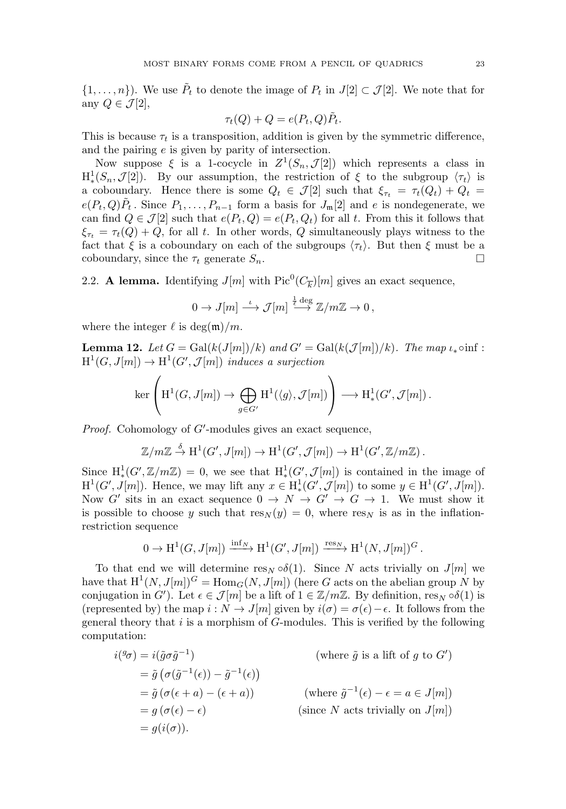$\{1,\ldots,n\}$ ). We use  $\tilde{P}_t$  to denote the image of  $P_t$  in  $J[2] \subset \mathcal{J}[2]$ . We note that for any  $Q \in \mathcal{J}[2],$ 

$$
\tau_t(Q) + Q = e(P_t, Q)\tilde{P}_t.
$$

This is because  $\tau_t$  is a transposition, addition is given by the symmetric difference, and the pairing e is given by parity of intersection.

Now suppose  $\xi$  is a 1-cocycle in  $Z^1(S_n,\mathcal{J}[2])$  which represents a class in  $H^1_*(S_n, \mathcal{J}[2])$ . By our assumption, the restriction of  $\xi$  to the subgroup  $\langle \tau_t \rangle$  is a coboundary. Hence there is some  $Q_t \in \mathcal{J}[2]$  such that  $\xi_{\tau_t} = \tau_t(Q_t) + Q_t =$  $e(P_t, Q)\tilde{P}_t$ . Since  $P_1, \ldots, P_{n-1}$  form a basis for  $J_{\mathfrak{m}}[2]$  and e is nondegenerate, we can find  $Q \in \mathcal{J}[2]$  such that  $e(P_t, Q) = e(P_t, Q_t)$  for all t. From this it follows that  $\xi_{\tau_t} = \tau_t(Q) + Q$ , for all t. In other words, Q simultaneously plays witness to the fact that  $\xi$  is a coboundary on each of the subgroups  $\langle \tau_t \rangle$ . But then  $\xi$  must be a coboundary, since the  $\tau_t$  generate  $S_n$ .  $\Box$ 

2.2. **A lemma.** Identifying  $J[m]$  with  $Pic^0(C_{\overline{k}})[m]$  gives an exact sequence,

$$
0 \to J[m] \stackrel{\iota}{\longrightarrow} \mathcal{J}[m] \stackrel{\frac{1}{\ell} \deg}{\longrightarrow} \mathbb{Z}/m\mathbb{Z} \to 0,
$$

where the integer  $\ell$  is deg(m)/m.

<span id="page-5-0"></span>**Lemma 12.** Let  $G = \text{Gal}(k(J[m])/k)$  and  $G' = \text{Gal}(k(J[m])/k)$ . The map  $\iota_* \circ \inf$ :  $H^1(G, J[m]) \to H^1(G', \mathcal{J}[m])$  induces a surjection

$$
\ker\left(\mathrm{H}^1(G,\mathcal{J}[m])\to\bigoplus_{g\in G'}\mathrm{H}^1(\langle g\rangle,\mathcal{J}[m])\right)\longrightarrow \mathrm{H}^1_*(G',\mathcal{J}[m])\,.
$$

Proof. Cohomology of G'-modules gives an exact sequence,

$$
\mathbb{Z}/m\mathbb{Z} \stackrel{\delta}{\to} \mathrm{H}^1(G', J[m]) \to \mathrm{H}^1(G', \mathcal{J}[m]) \to \mathrm{H}^1(G', \mathbb{Z}/m\mathbb{Z}).
$$

Since  $H^1_*(G', \mathbb{Z}/m\mathbb{Z}) = 0$ , we see that  $H^1_*(G', \mathcal{J}[m])$  is contained in the image of  $H^1(G', J[m])$ . Hence, we may lift any  $x \in H^1(G', \mathcal{J}[m])$  to some  $y \in H^1(G', J[m])$ . Now G' sits in an exact sequence  $0 \to N \to G' \to G \to 1$ . We must show it is possible to choose y such that  $res_N(y) = 0$ , where  $res_N$  is as in the inflationrestriction sequence

$$
0 \to \mathrm{H}^1(G, J[m]) \xrightarrow{\mathrm{inf}_N} \mathrm{H}^1(G', J[m]) \xrightarrow{\mathrm{res}_N} \mathrm{H}^1(N, J[m])^G.
$$

To that end we will determine res<sub>N</sub>  $\circ \delta(1)$ . Since N acts trivially on J[m] we have that  $H^1(N, J[m])^G = \text{Hom}_G(N, J[m])$  (here G acts on the abelian group N by conjugation in G'). Let  $\epsilon \in \mathcal{J}[m]$  be a lift of  $1 \in \mathbb{Z}/m\mathbb{Z}$ . By definition,  $\text{res}_N \circ \delta(1)$  is (represented by) the map  $i : N \to J[m]$  given by  $i(\sigma) = \sigma(\epsilon) - \epsilon$ . It follows from the general theory that  $i$  is a morphism of  $G$ -modules. This is verified by the following computation:

$$
i(^{g}\sigma) = i(\tilde{g}\sigma\tilde{g}^{-1}) \qquad \qquad \text{(where } \tilde{g} \text{ is a lift of } g \text{ to } G')
$$
  
\n
$$
= \tilde{g} \left( \sigma(\tilde{g}^{-1}(\epsilon)) - \tilde{g}^{-1}(\epsilon) \right)
$$
  
\n
$$
= \tilde{g} \left( \sigma(\epsilon + a) - (\epsilon + a) \right) \qquad \qquad \text{(where } \tilde{g}^{-1}(\epsilon) - \epsilon = a \in J[m])
$$
  
\n
$$
= g(\sigma(\epsilon) - \epsilon) \qquad \qquad \text{(since } N \text{ acts trivially on } J[m])
$$
  
\n
$$
= g(i(\sigma)).
$$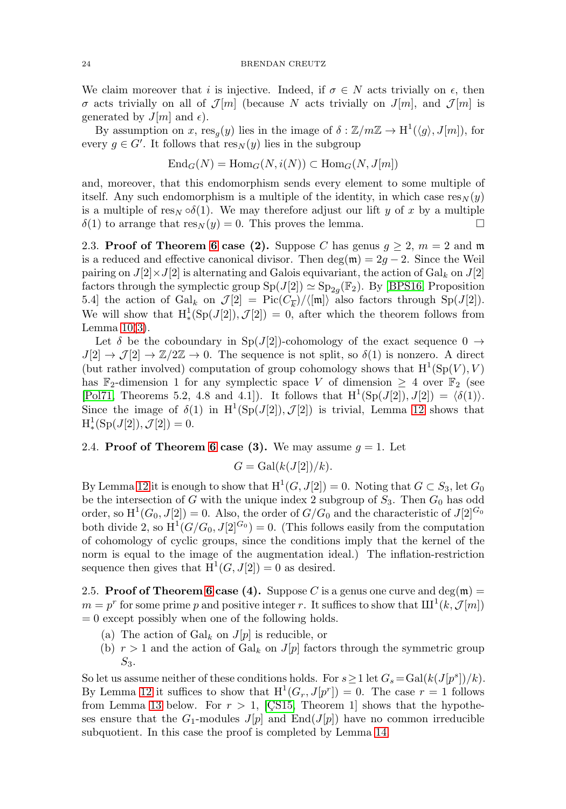We claim moreover that i is injective. Indeed, if  $\sigma \in N$  acts trivially on  $\epsilon$ , then  $\sigma$  acts trivially on all of  $\mathcal{J}[m]$  (because N acts trivially on  $J[m]$ , and  $\mathcal{J}[m]$  is generated by  $J[m]$  and  $\epsilon$ ).

By assumption on x,  $res_{\alpha}(y)$  lies in the image of  $\delta : \mathbb{Z}/m\mathbb{Z} \to H^1(\langle q \rangle, J[m])$ , for every  $g \in G'$ . It follows that  $res_N(y)$  lies in the subgroup

$$
End_G(N) = Hom_G(N, i(N)) \subset Hom_G(N, J[m])
$$

and, moreover, that this endomorphism sends every element to some multiple of itself. Any such endomorphism is a multiple of the identity, in which case  $res_N(y)$ is a multiple of res<sub>N</sub>  $\circ\delta(1)$ . We may therefore adjust our lift y of x by a multiple  $\delta(1)$  to arrange that  $res_N(y) = 0$ . This proves the lemma.  $\Box$ 

2.3. **Proof of Theorem [6](#page-2-1) case (2).** Suppose C has genus  $g \geq 2$ ,  $m = 2$  and m is a reduced and effective canonical divisor. Then  $\deg(\mathfrak{m})=2g-2$ . Since the Weil pairing on  $J[2] \times J[2]$  is alternating and Galois equivariant, the action of Gal<sub>k</sub> on  $J[2]$ factors through the symplectic group  $Sp(J[2]) \simeq Sp_{2g}(\mathbb{F}_2)$ . By [\[BPS16,](#page-8-6) Proposition 5.4] the action of Gal<sub>k</sub> on  $\mathcal{J}[2] = Pic(\mathcal{C}_{\overline{k}})/\langle[\mathfrak{m}]\rangle$  also factors through Sp(J[2]). We will show that  $H^1_*(Sp(J[2]), \mathcal{J}[2]) = 0$ , after which the theorem follows from Lemma  $10(3)$  $10(3)$ .

Let  $\delta$  be the coboundary in Sp(J[2])-cohomology of the exact sequence  $0 \rightarrow$  $J[2] \to \mathcal{J}[2] \to \mathbb{Z}/2\mathbb{Z} \to 0$ . The sequence is not split, so  $\delta(1)$  is nonzero. A direct (but rather involved) computation of group cohomology shows that  $H^1(Sp(V), V)$ has  $\mathbb{F}_2$ -dimension 1 for any symplectic space V of dimension  $\geq 4$  over  $\mathbb{F}_2$  (see [\[Pol71,](#page-9-9) Theorems 5.2, 4.8 and 4.1]). It follows that  $H^1(Sp(J[2]), J[2]) = \langle \delta(1) \rangle$ . Since the image of  $\delta(1)$  in  $H^1(Sp(J[2]), J[2])$  is trivial, Lemma [12](#page-5-0) shows that  $H^1_*(Sp(J[2]), \mathcal{J}[2]) = 0.$ 

# 2.4. **Proof of Theorem [6](#page-2-1) case (3).** We may assume  $q = 1$ . Let

$$
G = \text{Gal}(k(J[2])/k).
$$

By Lemma [12](#page-5-0) it is enough to show that  $H^1(G, J[2]) = 0$ . Noting that  $G \subset S_3$ , let  $G_0$ be the intersection of G with the unique index 2 subgroup of  $S_3$ . Then  $G_0$  has odd order, so  $H^1(G_0, J[2]) = 0$ . Also, the order of  $G/G_0$  and the characteristic of  $J[2]^{G_0}$ both divide 2, so  $H^1(G/G_0, J[2]^{G_0}) = 0$ . (This follows easily from the computation of cohomology of cyclic groups, since the conditions imply that the kernel of the norm is equal to the image of the augmentation ideal.) The inflation-restriction sequence then gives that  $H^1(G, J[2]) = 0$  as desired.

2.5. **Proof of Theorem [6](#page-2-1) case (4).** Suppose C is a genus one curve and deg(m) =  $m = p^r$  for some prime p and positive integer r. It suffices to show that  $\text{III}^1(k,\mathcal{J} [m])$  $= 0$  except possibly when one of the following holds.

- (a) The action of  $Gal_k$  on  $J[p]$  is reducible, or
- (b)  $r > 1$  and the action of Gal<sub>k</sub> on  $J[p]$  factors through the symmetric group  $S_3$ .

So let us assume neither of these conditions holds. For  $s \geq 1$  let  $G_s = \text{Gal}(k(J[p^s])/k)$ . By Lemma [12](#page-5-0) it suffices to show that  $H^1(G_r, J[p^r]) = 0$ . The case  $r = 1$  follows from Lemma [13](#page-7-1) below. For  $r > 1$ , [CS15, Theorem 1] shows that the hypotheses ensure that the  $G_1$ -modules  $J[p]$  and  $\text{End}(J[p])$  have no common irreducible subquotient. In this case the proof is completed by Lemma [14.](#page-7-2)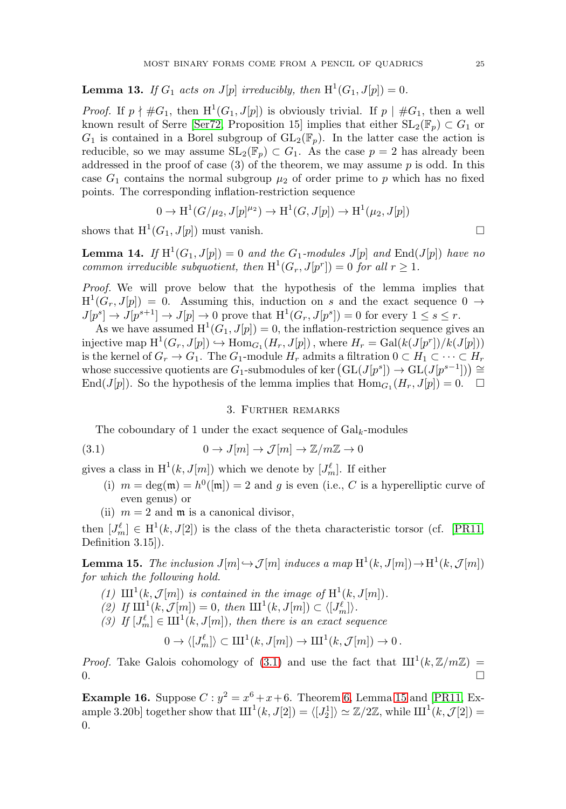<span id="page-7-1"></span>**Lemma 13.** If  $G_1$  acts on  $J[p]$  irreducibly, then  $H^1(G_1, J[p]) = 0$ .

*Proof.* If  $p \nmid \#G_1$ , then  $H^1(G_1, J[p])$  is obviously trivial. If  $p \mid \#G_1$ , then a well known result of Serre [\[Ser72,](#page-9-10) Proposition 15] implies that either  $SL_2(\mathbb{F}_p) \subset G_1$  or  $G_1$  is contained in a Borel subgroup of  $GL_2(\mathbb{F}_p)$ . In the latter case the action is reducible, so we may assume  $SL_2(\mathbb{F}_p) \subset G_1$ . As the case  $p = 2$  has already been addressed in the proof of case  $(3)$  of the theorem, we may assume p is odd. In this case  $G_1$  contains the normal subgroup  $\mu_2$  of order prime to p which has no fixed points. The corresponding inflation-restriction sequence

$$
0 \to H^1(G/\mu_2, J[p]^{\mu_2}) \to H^1(G, J[p]) \to H^1(\mu_2, J[p])
$$

shows that  $H^1(G_1, J[p])$  must vanish.

<span id="page-7-2"></span>**Lemma 14.** If  $H^1(G_1, J[p]) = 0$  and the  $G_1$ -modules  $J[p]$  and  $End(J[p])$  have no common irreducible subquotient, then  $H^1(G_r, J[p^r]) = 0$  for all  $r \ge 1$ .

Proof. We will prove below that the hypothesis of the lemma implies that  $H^1(G_r, J[p]) = 0$ . Assuming this, induction on s and the exact sequence  $0 \rightarrow$  $J[p^s] \to J[p^{s+1}] \to J[p] \to 0$  prove that  $H^1(G_r, J[p^s]) = 0$  for every  $1 \leq s \leq r$ .

As we have assumed  $H^1(G_1, J[p]) = 0$ , the inflation-restriction sequence gives an injective map  $H^1(G_r, J[p]) \hookrightarrow \text{Hom}_{G_1}(H_r, J[p])$ , where  $H_r = \text{Gal}(k(J[p^r])/k(J[p]))$ is the kernel of  $G_r \to G_1$ . The  $G_1$ -module  $H_r$  admits a filtration  $0 \subset H_1 \subset \cdots \subset H_r$ whose successive quotients are  $G_1$ -submodules of ker  $(\mathrm{GL}(J[p^s]) \to \mathrm{GL}(J[p^{s-1}])) \cong$ End(J[p]). So the hypothesis of the lemma implies that  $\text{Hom}_{G_1}(H_r, J[p]) = 0.$   $\Box$ 

## 3. Further remarks

The coboundary of 1 under the exact sequence of  $Gal_{k}$ -modules

<span id="page-7-3"></span>(3.1) 
$$
0 \to J[m] \to \mathcal{J}[m] \to \mathbb{Z}/m\mathbb{Z} \to 0
$$

gives a class in  $\mathrm{H}^1(k,J[m])$  which we denote by  $[J_m^{\ell}]$ . If either

- (i)  $m = \deg(\mathfrak{m}) = h^0([\mathfrak{m}]) = 2$  and g is even (i.e., C is a hyperelliptic curve of even genus) or
- (ii)  $m = 2$  and  $\mathfrak{m}$  is a canonical divisor,

then  $[J_m^{\ell}] \in H^1(k, J[2])$  is the class of the theta characteristic torsor (cf. [\[PR11,](#page-9-4) Definition 3.15]).

<span id="page-7-4"></span>**Lemma 15.** The inclusion  $J[m] \hookrightarrow \mathcal{J}[m]$  induces a map  $H^1(k, J[m]) \to H^1(k, \mathcal{J}[m])$ for which the following hold.

- (1)  $\text{III}^1(k,\mathcal{J}[m])$  is contained in the image of  $\text{H}^1(k, J[m])$ .
- (2) If  $\text{III}^1(k,\mathcal{J}[m]) = 0$ , then  $\text{III}^1(k, J[m]) \subset \langle [J^{\ell}_m] \rangle$ .
- (3) If  $[J_m^{\ell}] \in \mathrm{III}^1(k, J[m])$ , then there is an exact sequence

 $0 \to \langle [J_m^{\ell}]\rangle \subset \mathrm{III}^1(k, J[m]) \to \mathrm{III}^1(k, \mathcal{J}[m]) \to 0$ .

*Proof.* Take Galois cohomology of [\(3.1\)](#page-7-3) and use the fact that  $III^1(k, \mathbb{Z}/m\mathbb{Z}) =$  $\Box$ 

<span id="page-7-0"></span>**Example 16.** Suppose  $C: y^2 = x^6 + x + 6$ . Theorem [6,](#page-2-1) Lemma [15](#page-7-4) and [\[PR11,](#page-9-4) Example 3.20b] together show that  $III^1(k, J[2]) = \langle [J_2^1] \rangle \simeq \mathbb{Z}/2\mathbb{Z}$ , while  $III^1(k, \mathcal{J}[2]) =$ 0.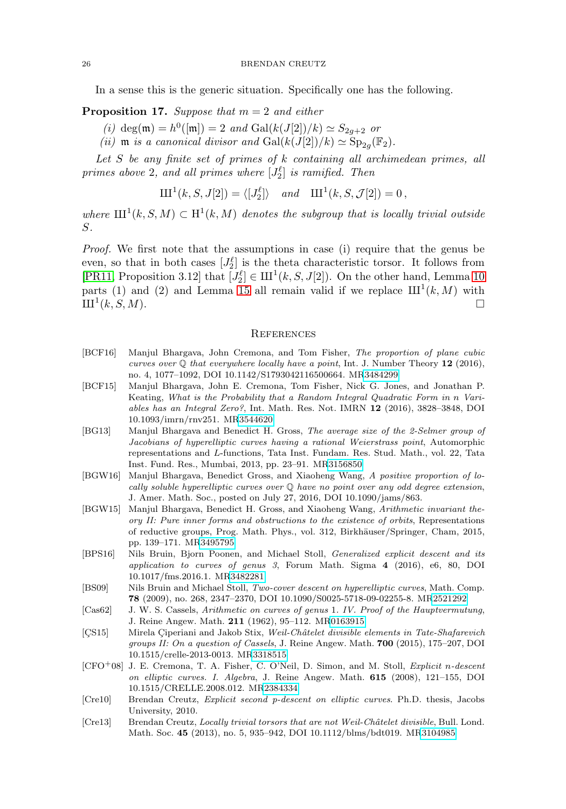In a sense this is the generic situation. Specifically one has the following.

**Proposition 17.** Suppose that  $m = 2$  and either

- (i) deg(m) =  $h^0([m]) = 2$  and  $Gal(k(J[2])/k) \simeq S_{2g+2}$  or
- (ii)  $m$  is a canonical divisor and  $Gal(k(J[2])/k) \simeq Sp_{2q}(\mathbb{F}_2)$ .

Let  $S$  be any finite set of primes of  $k$  containing all archimedean primes, all primes above 2, and all primes where  $[J_2^{\ell}]$  is ramified. Then

$$
\mathrm{III}^1(k,S,J[2]) = \langle [J_2^{\ell}] \rangle \quad \text{and} \quad \mathrm{III}^1(k,S,\mathcal{J}[2]) = 0,
$$

where  $\text{III}^1(k, S, M) \subset \text{H}^1(k, M)$  denotes the subgroup that is locally trivial outside S.

Proof. We first note that the assumptions in case (i) require that the genus be even, so that in both cases  $[J_2^{\ell}]$  is the theta characteristic torsor. It follows from [\[PR11,](#page-9-4) Proposition 3.12] that  $[J_2^{\ell}] \in \mathrm{III}^1(k, S, J[2])$ . On the other hand, Lemma [10](#page-4-0) parts (1) and (2) and Lemma [15](#page-7-4) all remain valid if we replace  $III^1(k,M)$  with  $\mathrm{III}^1(k, S, M).$ 

#### **REFERENCES**

- <span id="page-8-10"></span>[BCF16] Manjul Bhargava, John Cremona, and Tom Fisher, The proportion of plane cubic curves over  $\mathbb Q$  that everywhere locally have a point, Int. J. Number Theory 12 (2016), no. 4, 1077–1092, DOI 10.1142/S1793042116500664. M[R3484299](http://www.ams.org/mathscinet-getitem?mr=3484299)
- <span id="page-8-4"></span>[BCF15] Manjul Bhargava, John E. Cremona, Tom Fisher, Nick G. Jones, and Jonathan P. Keating, What is the Probability that a Random Integral Quadratic Form in n Variables has an Integral Zero?, Int. Math. Res. Not. IMRN **12** (2016), 3828–3848, DOI 10.1093/imrn/rnv251. M[R3544620](http://www.ams.org/mathscinet-getitem?mr=3544620)
- <span id="page-8-0"></span>[BG13] Manjul Bhargava and Benedict H. Gross, The average size of the 2-Selmer group of Jacobians of hyperelliptic curves having a rational Weierstrass point, Automorphic representations and L-functions, Tata Inst. Fundam. Res. Stud. Math., vol. 22, Tata Inst. Fund. Res., Mumbai, 2013, pp. 23–91. M[R3156850](http://www.ams.org/mathscinet-getitem?mr=3156850)
- <span id="page-8-2"></span>[BGW16] Manjul Bhargava, Benedict Gross, and Xiaoheng Wang, A positive proportion of locally soluble hyperelliptic curves over Q have no point over any odd degree extension, J. Amer. Math. Soc., posted on July 27, 2016, DOI 10.1090/jams/863.
- <span id="page-8-1"></span>[BGW15] Manjul Bhargava, Benedict H. Gross, and Xiaoheng Wang, Arithmetic invariant theory II: Pure inner forms and obstructions to the existence of orbits, Representations of reductive groups, Prog. Math. Phys., vol. 312, Birkhäuser/Springer, Cham, 2015, pp. 139–171. M[R3495795](http://www.ams.org/mathscinet-getitem?mr=3495795)
- <span id="page-8-6"></span>[BPS16] Nils Bruin, Bjorn Poonen, and Michael Stoll, Generalized explicit descent and its application to curves of genus 3, Forum Math. Sigma **4** (2016), e6, 80, DOI 10.1017/fms.2016.1. M[R3482281](http://www.ams.org/mathscinet-getitem?mr=3482281)
- <span id="page-8-3"></span>[BS09] Nils Bruin and Michael Stoll, Two-cover descent on hyperelliptic curves, Math. Comp. **78** (2009), no. 268, 2347–2370, DOI 10.1090/S0025-5718-09-02255-8. M[R2521292](http://www.ams.org/mathscinet-getitem?mr=2521292)
- <span id="page-8-9"></span>[Cas62] J. W. S. Cassels, Arithmetic on curves of genus 1. IV. Proof of the Hauptvermutung, J. Reine Angew. Math. **211** (1962), 95–112. M[R0163915](http://www.ams.org/mathscinet-getitem?mr=0163915)
- <span id="page-8-11"></span>[CS15] Mirela Ciperiani and Jakob Stix, Weil-Châtelet divisible elements in Tate-Shafarevich groups II: On a question of Cassels, J. Reine Angew. Math. **700** (2015), 175–207, DOI 10.1515/crelle-2013-0013. M[R3318515](http://www.ams.org/mathscinet-getitem?mr=3318515)
- <span id="page-8-7"></span>[CFO+08] J. E. Cremona, T. A. Fisher, C. O'Neil, D. Simon, and M. Stoll, Explicit n-descent on elliptic curves. I. Algebra, J. Reine Angew. Math. **615** (2008), 121–155, DOI 10.1515/CRELLE.2008.012. M[R2384334](http://www.ams.org/mathscinet-getitem?mr=2384334)
- <span id="page-8-8"></span>[Cre10] Brendan Creutz, Explicit second p-descent on elliptic curves. Ph.D. thesis, Jacobs University, 2010.
- <span id="page-8-5"></span>[Cre13] Brendan Creutz, Locally trivial torsors that are not Weil-Châtelet divisible, Bull. Lond. Math. Soc. **45** (2013), no. 5, 935–942, DOI 10.1112/blms/bdt019. M[R3104985](http://www.ams.org/mathscinet-getitem?mr=3104985)